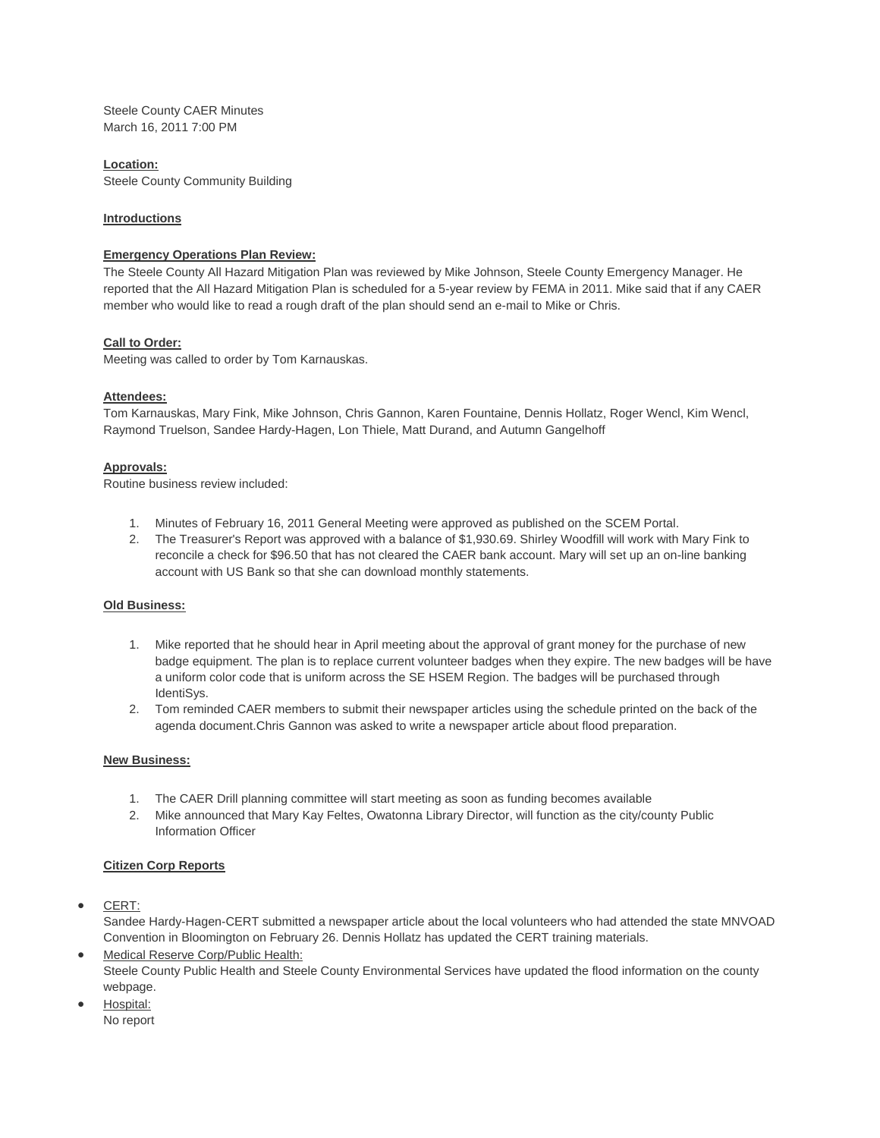Steele County CAER Minutes March 16, 2011 7:00 PM

# **Location:**

Steele County Community Building

## **Introductions**

## **Emergency Operations Plan Review:**

The Steele County All Hazard Mitigation Plan was reviewed by Mike Johnson, Steele County Emergency Manager. He reported that the All Hazard Mitigation Plan is scheduled for a 5-year review by FEMA in 2011. Mike said that if any CAER member who would like to read a rough draft of the plan should send an e-mail to Mike or Chris.

## **Call to Order:**

Meeting was called to order by Tom Karnauskas.

### **Attendees:**

Tom Karnauskas, Mary Fink, Mike Johnson, Chris Gannon, Karen Fountaine, Dennis Hollatz, Roger Wencl, Kim Wencl, Raymond Truelson, Sandee Hardy-Hagen, Lon Thiele, Matt Durand, and Autumn Gangelhoff

### **Approvals:**

Routine business review included:

- 1. Minutes of February 16, 2011 General Meeting were approved as published on the SCEM Portal.
- 2. The Treasurer's Report was approved with a balance of \$1,930.69. Shirley Woodfill will work with Mary Fink to reconcile a check for \$96.50 that has not cleared the CAER bank account. Mary will set up an on-line banking account with US Bank so that she can download monthly statements.

#### **Old Business:**

- 1. Mike reported that he should hear in April meeting about the approval of grant money for the purchase of new badge equipment. The plan is to replace current volunteer badges when they expire. The new badges will be have a uniform color code that is uniform across the SE HSEM Region. The badges will be purchased through IdentiSys.
- 2. Tom reminded CAER members to submit their newspaper articles using the schedule printed on the back of the agenda document.Chris Gannon was asked to write a newspaper article about flood preparation.

### **New Business:**

- 1. The CAER Drill planning committee will start meeting as soon as funding becomes available
- 2. Mike announced that Mary Kay Feltes, Owatonna Library Director, will function as the city/county Public Information Officer

## **Citizen Corp Reports**

CERT:

Sandee Hardy-Hagen-CERT submitted a newspaper article about the local volunteers who had attended the state MNVOAD Convention in Bloomington on February 26. Dennis Hollatz has updated the CERT training materials.

- Medical Reserve Corp/Public Health: Steele County Public Health and Steele County Environmental Services have updated the flood information on the county webpage.
- Hospital: No report